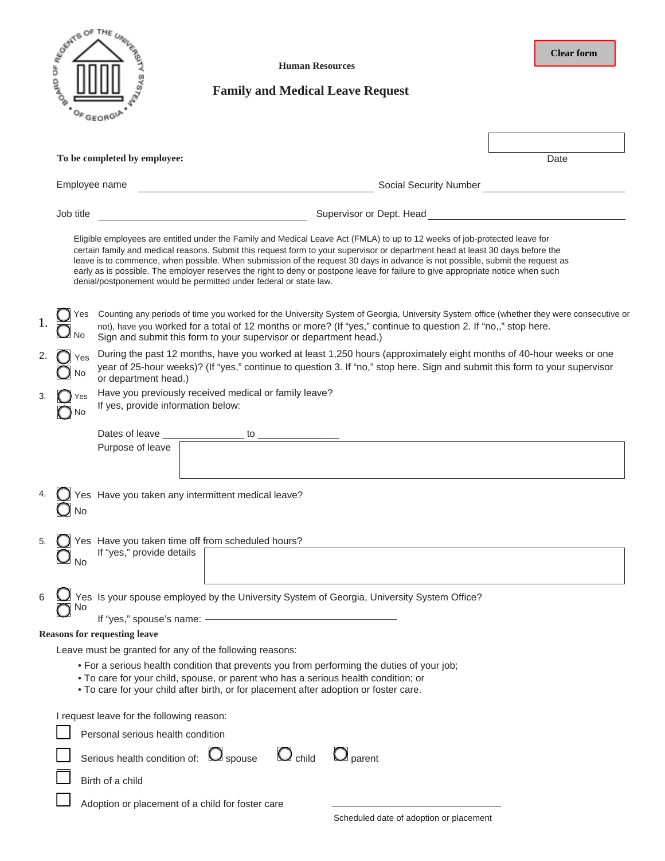

**Human Resources**

**Clear form**

## **Family and Medical Leave Request**

|                                                  |                                                                                | To be completed by employee:                                                                                                                                                                                                                                                                                                                                                                                                                                                                                                                                                                            | Date |  |  |  |
|--------------------------------------------------|--------------------------------------------------------------------------------|---------------------------------------------------------------------------------------------------------------------------------------------------------------------------------------------------------------------------------------------------------------------------------------------------------------------------------------------------------------------------------------------------------------------------------------------------------------------------------------------------------------------------------------------------------------------------------------------------------|------|--|--|--|
|                                                  | Employee name                                                                  | Social Security Number                                                                                                                                                                                                                                                                                                                                                                                                                                                                                                                                                                                  |      |  |  |  |
|                                                  | Job title                                                                      | Supervisor or Dept. Head                                                                                                                                                                                                                                                                                                                                                                                                                                                                                                                                                                                |      |  |  |  |
|                                                  |                                                                                | Eligible employees are entitled under the Family and Medical Leave Act (FMLA) to up to 12 weeks of job-protected leave for<br>certain family and medical reasons. Submit this request form to your supervisor or department head at least 30 days before the<br>leave is to commence, when possible. When submission of the request 30 days in advance is not possible, submit the request as<br>early as is possible. The employer reserves the right to deny or postpone leave for failure to give appropriate notice when such<br>denial/postponement would be permitted under federal or state law. |      |  |  |  |
|                                                  |                                                                                | Counting any periods of time you worked for the University System of Georgia, University System office (whether they were consecutive or<br>not), have you worked for a total of 12 months or more? (If "yes," continue to question 2. If "no,," stop here.<br>Sign and submit this form to your supervisor or department head.)                                                                                                                                                                                                                                                                        |      |  |  |  |
|                                                  | No                                                                             | During the past 12 months, have you worked at least 1,250 hours (approximately eight months of 40-hour weeks or one<br>year of 25-hour weeks)? (If "yes," continue to question 3. If "no," stop here. Sign and submit this form to your supervisor<br>or department head.)                                                                                                                                                                                                                                                                                                                              |      |  |  |  |
| 3.                                               | No                                                                             | Have you previously received medical or family leave?<br>If yes, provide information below:                                                                                                                                                                                                                                                                                                                                                                                                                                                                                                             |      |  |  |  |
|                                                  |                                                                                | Dates of leave _________________ to ________<br>Purpose of leave                                                                                                                                                                                                                                                                                                                                                                                                                                                                                                                                        |      |  |  |  |
|                                                  | No                                                                             | Yes Have you taken any intermittent medical leave?                                                                                                                                                                                                                                                                                                                                                                                                                                                                                                                                                      |      |  |  |  |
| 5.                                               | <b>No</b>                                                                      | Yes Have you taken time off from scheduled hours?<br>If "yes," provide details                                                                                                                                                                                                                                                                                                                                                                                                                                                                                                                          |      |  |  |  |
|                                                  | N0                                                                             | Yes Is your spouse employed by the University System of Georgia, University System Office?<br>If "yes," spouse's name: -                                                                                                                                                                                                                                                                                                                                                                                                                                                                                |      |  |  |  |
|                                                  |                                                                                | <b>Reasons for requesting leave</b>                                                                                                                                                                                                                                                                                                                                                                                                                                                                                                                                                                     |      |  |  |  |
|                                                  |                                                                                | Leave must be granted for any of the following reasons:                                                                                                                                                                                                                                                                                                                                                                                                                                                                                                                                                 |      |  |  |  |
|                                                  |                                                                                | • For a serious health condition that prevents you from performing the duties of your job;<br>. To care for your child, spouse, or parent who has a serious health condition; or<br>. To care for your child after birth, or for placement after adoption or foster care.                                                                                                                                                                                                                                                                                                                               |      |  |  |  |
|                                                  | I request leave for the following reason:<br>Personal serious health condition |                                                                                                                                                                                                                                                                                                                                                                                                                                                                                                                                                                                                         |      |  |  |  |
|                                                  |                                                                                |                                                                                                                                                                                                                                                                                                                                                                                                                                                                                                                                                                                                         |      |  |  |  |
|                                                  |                                                                                | Serious health condition of: $\Box$ spouse $\Box$ child<br>$\bigcup$ parent                                                                                                                                                                                                                                                                                                                                                                                                                                                                                                                             |      |  |  |  |
|                                                  | Birth of a child                                                               |                                                                                                                                                                                                                                                                                                                                                                                                                                                                                                                                                                                                         |      |  |  |  |
| Adoption or placement of a child for foster care |                                                                                |                                                                                                                                                                                                                                                                                                                                                                                                                                                                                                                                                                                                         |      |  |  |  |
|                                                  |                                                                                | Scheduled date of adoption or placement                                                                                                                                                                                                                                                                                                                                                                                                                                                                                                                                                                 |      |  |  |  |